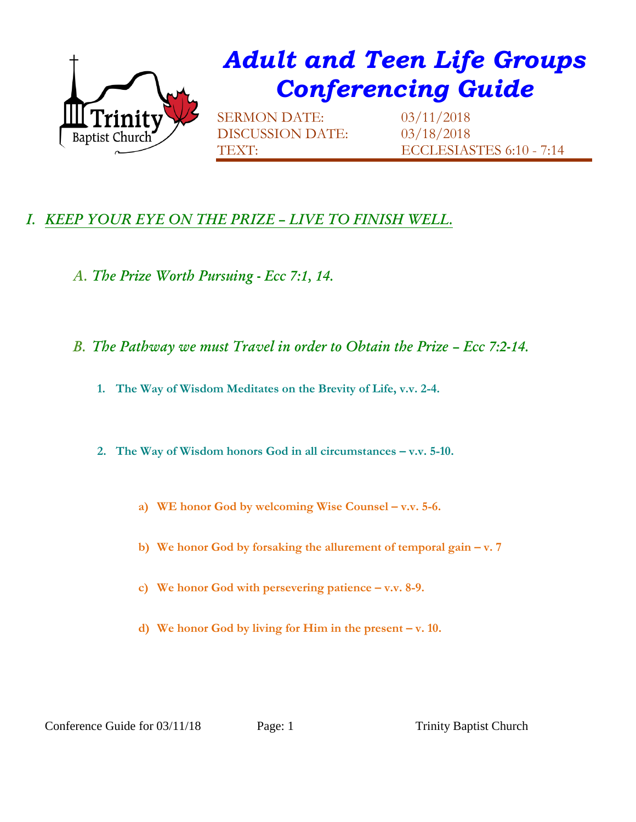

## *Adult and Teen Life Groups Conferencing Guide*

SERMON DATE: 03/11/2018 DISCUSSION DATE: 03/18/2018

TEXT: ECCLESIASTES 6:10 - 7:14

## *I. KEEP YOUR EYE ON THE PRIZE – LIVE TO FINISH WELL.*

- *A. The Prize Worth Pursuing - Ecc 7:1, 14.*
- *B. The Pathway we must Travel in order to Obtain the Prize Ecc 7:2-14.* 
	- **1. The Way of Wisdom Meditates on the Brevity of Life, v.v. 2-4.**
	- **2. The Way of Wisdom honors God in all circumstances – v.v. 5-10.** 
		- **a) WE honor God by welcoming Wise Counsel – v.v. 5-6.**
		- **b) We honor God by forsaking the allurement of temporal gain – v. 7**
		- **c) We honor God with persevering patience – v.v. 8-9.**
		- **d) We honor God by living for Him in the present – v. 10.**

Conference Guide for 03/11/18 Page: 1 Trinity Baptist Church